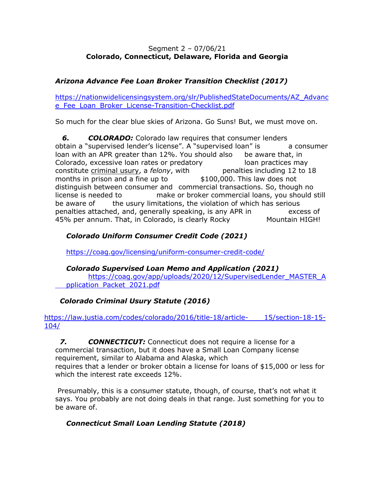#### Segment 2 – 07/06/21 **Colorado, Connecticut, Delaware, Florida and Georgia**

## *Arizona Advance Fee Loan Broker Transition Checklist (2017)*

https://nationwidelicensingsystem.org/slr/PublishedStateDocuments/AZ\_Advanc e\_Fee\_Loan\_Broker\_License-Transition-Checklist.pdf

So much for the clear blue skies of Arizona. Go Suns! But, we must move on.

**6. COLORADO:** Colorado law requires that consumer lenders obtain a "supervised lender's license". A "supervised loan" is a consumer loan with an APR greater than 12%. You should also be aware that, in Colorado, excessive loan rates or predatory loan practices may constitute criminal usury, a *felony*, with penalties including 12 to 18 months in prison and a fine up to \$100,000. This law does not distinguish between consumer and commercial transactions. So, though no license is needed to make or broker commercial loans, you should still be aware of the usury limitations, the violation of which has serious penalties attached, and, generally speaking, is any APR in excess of 45% per annum. That, in Colorado, is clearly Rocky Mountain HIGH!

## *Colorado Uniform Consumer Credit Code (2021)*

https://coag.gov/licensing/uniform-consumer-credit-code/

#### *Colorado Supervised Loan Memo and Application (2021)*

https://coag.gov/app/uploads/2020/12/SupervisedLender\_MASTER\_A pplication\_Packet\_2021.pdf

# *Colorado Criminal Usury Statute (2016)*

https://law.justia.com/codes/colorado/2016/title-18/article- 15/section-18-15-104/

 *7. CONNECTICUT:* Connecticut does not require a license for a commercial transaction, but it does have a Small Loan Company license requirement, similar to Alabama and Alaska, which requires that a lender or broker obtain a license for loans of \$15,000 or less for which the interest rate exceeds 12%.

Presumably, this is a consumer statute, though, of course, that's not what it says. You probably are not doing deals in that range. Just something for you to be aware of.

# *Connecticut Small Loan Lending Statute (2018)*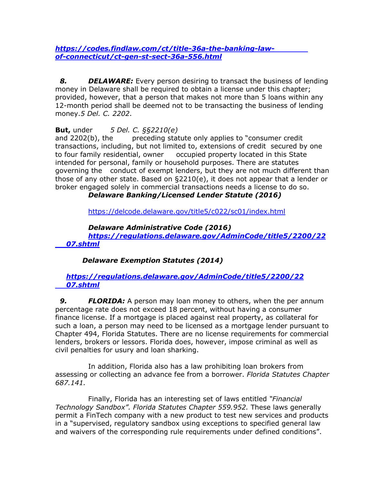*https://codes.findlaw.com/ct/title-36a-the-banking-lawof-connecticut/ct-gen-st-sect-36a-556.html*

**8. DELAWARE:** Every person desiring to transact the business of lending money in Delaware shall be required to obtain a license under this chapter; provided, however, that a person that makes not more than 5 loans within any 12-month period shall be deemed not to be transacting the business of lending money.*5 Del. C. 2202*.

**But,** under *5 Del. C. §§2210(e)* 

and 2202(b), the preceding statute only applies to "consumer credit transactions, including, but not limited to, extensions of credit secured by one to four family residential, owner occupied property located in this State intended for personal, family or household purposes. There are statutes governing the conduct of exempt lenders, but they are not much different than those of any other state. Based on §2210(e), it does not appear that a lender or broker engaged solely in commercial transactions needs a license to do so.

 *Delaware Banking/Licensed Lender Statute (2016)*

https://delcode.delaware.gov/title5/c022/sc01/index.html

*Delaware Administrative Code (2016)*

*https://regulations.delaware.gov/AdminCode/title5/2200/22 07.shtml*

 *Delaware Exemption Statutes (2014)*

#### *https://regulations.delaware.gov/AdminCode/title5/2200/22 07.shtml*

**9. FLORIDA:** A person may loan money to others, when the per annum percentage rate does not exceed 18 percent, without having a consumer finance license. If a mortgage is placed against real property, as collateral for such a loan, a person may need to be licensed as a mortgage lender pursuant to Chapter 494, Florida Statutes. There are no license requirements for commercial lenders, brokers or lessors. Florida does, however, impose criminal as well as civil penalties for usury and loan sharking.

In addition, Florida also has a law prohibiting loan brokers from assessing or collecting an advance fee from a borrower. *Florida Statutes Chapter 687.141.*

Finally, Florida has an interesting set of laws entitled *"Financial Technology Sandbox". Florida Statutes Chapter 559.952.* These laws generally permit a FinTech company with a new product to test new services and products in a "supervised, regulatory sandbox using exceptions to specified general law and waivers of the corresponding rule requirements under defined conditions".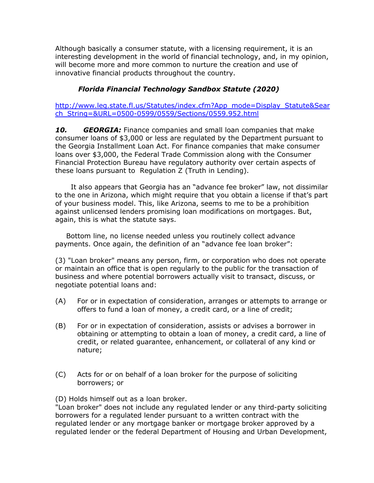Although basically a consumer statute, with a licensing requirement, it is an interesting development in the world of financial technology, and, in my opinion, will become more and more common to nurture the creation and use of innovative financial products throughout the country.

## *Florida Financial Technology Sandbox Statute (2020)*

http://www.leg.state.fl.us/Statutes/index.cfm?App\_mode=Display\_Statute&Sear ch\_String=&URL=0500-0599/0559/Sections/0559.952.html

*10. GEORGIA:* Finance companies and small loan companies that make consumer loans of \$3,000 or less are regulated by the Department pursuant to the Georgia Installment Loan Act. For finance companies that make consumer loans over \$3,000, the Federal Trade Commission along with the Consumer Financial Protection Bureau have regulatory authority over certain aspects of these loans pursuant to Regulation Z (Truth in Lending).

It also appears that Georgia has an "advance fee broker" law, not dissimilar to the one in Arizona, which might require that you obtain a license if that's part of your business model. This, like Arizona, seems to me to be a prohibition against unlicensed lenders promising loan modifications on mortgages. But, again, this is what the statute says.

Bottom line, no license needed unless you routinely collect advance payments. Once again, the definition of an "advance fee loan broker":

(3) "Loan broker" means any person, firm, or corporation who does not operate or maintain an office that is open regularly to the public for the transaction of business and where potential borrowers actually visit to transact, discuss, or negotiate potential loans and:

- (A) For or in expectation of consideration, arranges or attempts to arrange or offers to fund a loan of money, a credit card, or a line of credit;
- (B) For or in expectation of consideration, assists or advises a borrower in obtaining or attempting to obtain a loan of money, a credit card, a line of credit, or related guarantee, enhancement, or collateral of any kind or nature;
- (C) Acts for or on behalf of a loan broker for the purpose of soliciting borrowers; or

(D) Holds himself out as a loan broker.

"Loan broker" does not include any regulated lender or any third-party soliciting borrowers for a regulated lender pursuant to a written contract with the regulated lender or any mortgage banker or mortgage broker approved by a regulated lender or the federal Department of Housing and Urban Development,